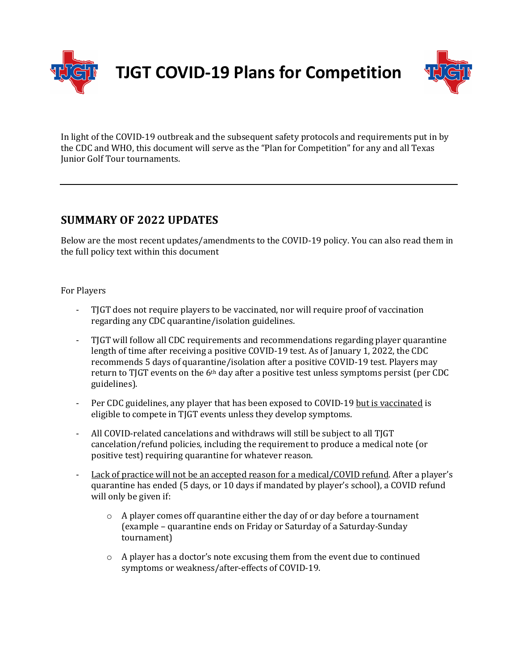

**TJGT COVID-19 Plans for Competition**



In light of the COVID-19 outbreak and the subsequent safety protocols and requirements put in by the CDC and WHO, this document will serve as the "Plan for Competition" for any and all Texas Junior Golf Tour tournaments.

## **SUMMARY OF 2022 UPDATES**

Below are the most recent updates/amendments to the COVID-19 policy. You can also read them in the full policy text within this document

For Players

- TIGT does not require players to be vaccinated, nor will require proof of vaccination regarding any CDC quarantine/isolation guidelines.
- TIGT will follow all CDC requirements and recommendations regarding player quarantine length of time after receiving a positive COVID-19 test. As of January 1, 2022, the CDC recommends 5 days of quarantine/isolation after a positive COVID-19 test. Players may return to TJGT events on the  $6<sup>th</sup>$  day after a positive test unless symptoms persist (per CDC guidelines).
- Per CDC guidelines, any player that has been exposed to COVID-19 but is vaccinated is eligible to compete in TJGT events unless they develop symptoms.
- All COVID-related cancelations and withdraws will still be subject to all TJGT cancelation/refund policies, including the requirement to produce a medical note (or positive test) requiring quarantine for whatever reason.
- Lack of practice will not be an accepted reason for a medical/COVID refund. After a player's quarantine has ended (5 days, or 10 days if mandated by player's school), a COVID refund will only be given if:
	- $\circ$  A player comes off quarantine either the day of or day before a tournament (example – quarantine ends on Friday or Saturday of a Saturday-Sunday tournament)
	- $\circ$  A player has a doctor's note excusing them from the event due to continued symptoms or weakness/after-effects of COVID-19.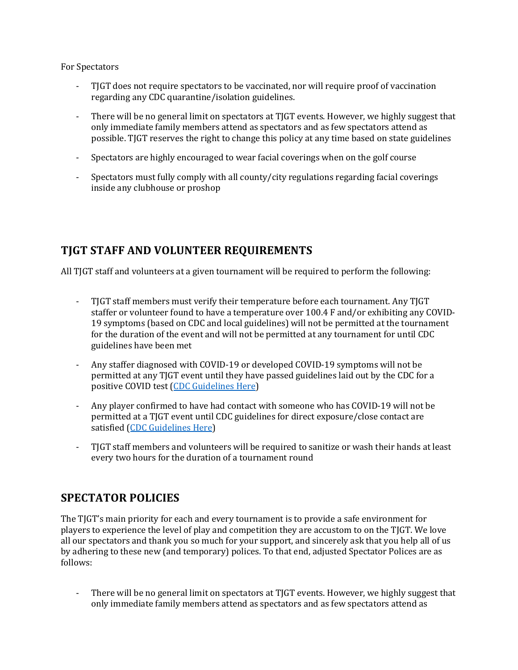For Spectators

- TJGT does not require spectators to be vaccinated, nor will require proof of vaccination regarding any CDC quarantine/isolation guidelines.
- There will be no general limit on spectators at TJGT events. However, we highly suggest that only immediate family members attend as spectators and as few spectators attend as possible. TJGT reserves the right to change this policy at any time based on state guidelines
- Spectators are highly encouraged to wear facial coverings when on the golf course
- Spectators must fully comply with all county/city regulations regarding facial coverings inside any clubhouse or proshop

# **TJGT STAFF AND VOLUNTEER REQUIREMENTS**

All TJGT staff and volunteers at a given tournament will be required to perform the following:

- TJGT staff members must verify their temperature before each tournament. Any TJGT staffer or volunteer found to have a temperature over 100.4 F and/or exhibiting any COVID-19 symptoms (based on CDC and local guidelines) will not be permitted at the tournament for the duration of the event and will not be permitted at any tournament for until CDC guidelines have been met
- Any staffer diagnosed with COVID-19 or developed COVID-19 symptoms will not be permitted at any TJGT event until they have passed guidelines laid out by the CDC for a positive COVID test (CDC Guidelines Here)
- Any player confirmed to have had contact with someone who has COVID-19 will not be permitted at a TJGT event until CDC guidelines for direct exposure/close contact are satisfied (CDC Guidelines Here)
- TJGT staff members and volunteers will be required to sanitize or wash their hands at least every two hours for the duration of a tournament round

# **SPECTATOR POLICIES**

The TJGT's main priority for each and every tournament is to provide a safe environment for players to experience the level of play and competition they are accustom to on the TJGT. We love all our spectators and thank you so much for your support, and sincerely ask that you help all of us by adhering to these new (and temporary) polices. To that end, adjusted Spectator Polices are as follows:

- There will be no general limit on spectators at TJGT events. However, we highly suggest that only immediate family members attend as spectators and as few spectators attend as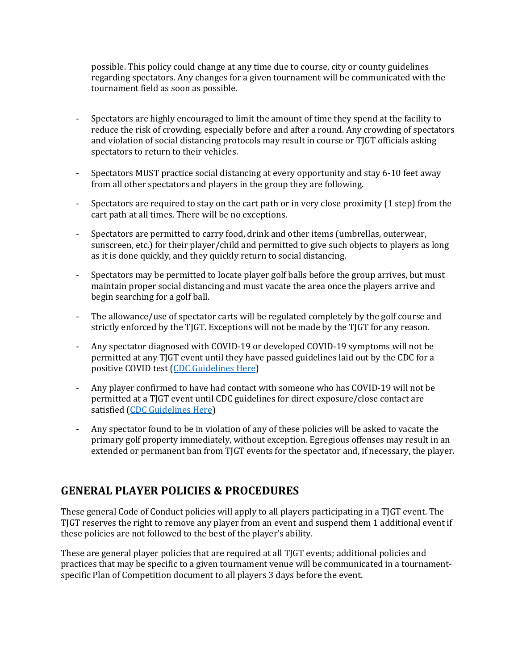possible. This policy could change at any time due to course, city or county guidelines regarding spectators. Any changes for a given tournament will be communicated with the tournament field as soon as possible.

- Spectators are highly encouraged to limit the amount of time they spend at the facility to reduce the risk of crowding, especially before and after a round. Any crowding of spectators and violation of social distancing protocols may result in course or TJGT officials asking spectators to return to their vehicles.
- Spectators MUST practice social distancing at every opportunity and stay 6-10 feet away from all other spectators and players in the group they are following.
- Spectators are required to stay on the cart path or in very close proximity  $(1 \text{ step})$  from the cart path at all times. There will be no exceptions.
- Spectators are permitted to carry food, drink and other items (umbrellas, outerwear, sunscreen, etc.) for their player/child and permitted to give such objects to players as long as it is done quickly, and they quickly return to social distancing.
- Spectators may be permitted to locate player golf balls before the group arrives, but must maintain proper social distancing and must vacate the area once the players arrive and begin searching for a golf ball.
- The allowance/use of spectator carts will be regulated completely by the golf course and strictly enforced by the TJGT. Exceptions will not be made by the TJGT for any reason.
- Any spectator diagnosed with COVID-19 or developed COVID-19 symptoms will not be permitted at any TJGT event until they have passed guidelines laid out by the CDC for a positive COVID test (CDC Guidelines Here)
- Any player confirmed to have had contact with someone who has COVID-19 will not be permitted at a TJGT event until CDC guidelines for direct exposure/close contact are satisfied (CDC Guidelines Here)
- Any spectator found to be in violation of any of these policies will be asked to vacate the primary golf property immediately, without exception. Egregious offenses may result in an extended or permanent ban from TJGT events for the spectator and, if necessary, the player.

### **GENERAL PLAYER POLICIES & PROCEDURES**

These general Code of Conduct policies will apply to all players participating in a TJGT event. The TJGT reserves the right to remove any player from an event and suspend them 1 additional event if these policies are not followed to the best of the player's ability.

These are general player policies that are required at all TJGT events; additional policies and practices that may be specific to a given tournament venue will be communicated in a tournamentspecific Plan of Competition document to all players 3 days before the event.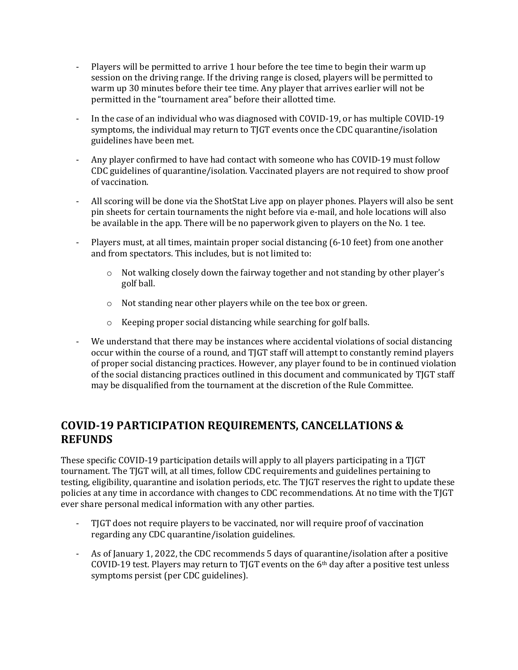- Players will be permitted to arrive 1 hour before the tee time to begin their warm up session on the driving range. If the driving range is closed, players will be permitted to warm up 30 minutes before their tee time. Any player that arrives earlier will not be permitted in the "tournament area" before their allotted time.
- In the case of an individual who was diagnosed with COVID-19, or has multiple COVID-19 symptoms, the individual may return to TJGT events once the CDC quarantine/isolation guidelines have been met.
- Any player confirmed to have had contact with someone who has COVID-19 must follow CDC guidelines of quarantine/isolation. Vaccinated players are not required to show proof of vaccination.
- All scoring will be done via the ShotStat Live app on player phones. Players will also be sent pin sheets for certain tournaments the night before via e-mail, and hole locations will also be available in the app. There will be no paperwork given to players on the No. 1 tee.
- Players must, at all times, maintain proper social distancing (6-10 feet) from one another and from spectators. This includes, but is not limited to:
	- $\circ$  Not walking closely down the fairway together and not standing by other player's golf ball.
	- $\circ$  Not standing near other players while on the tee box or green.
	- $\circ$  Keeping proper social distancing while searching for golf balls.
- We understand that there may be instances where accidental violations of social distancing occur within the course of a round, and TJGT staff will attempt to constantly remind players of proper social distancing practices. However, any player found to be in continued violation of the social distancing practices outlined in this document and communicated by TJGT staff may be disqualified from the tournament at the discretion of the Rule Committee.

## **COVID-19 PARTICIPATION REQUIREMENTS, CANCELLATIONS & REFUNDS**

These specific COVID-19 participation details will apply to all players participating in a TJGT tournament. The TJGT will, at all times, follow CDC requirements and guidelines pertaining to testing, eligibility, quarantine and isolation periods, etc. The TJGT reserves the right to update these policies at any time in accordance with changes to CDC recommendations. At no time with the TJGT ever share personal medical information with any other parties.

- TJGT does not require players to be vaccinated, nor will require proof of vaccination regarding any CDC quarantine/isolation guidelines.
- As of January 1, 2022, the CDC recommends 5 days of quarantine/isolation after a positive COVID-19 test. Players may return to TJGT events on the  $6<sup>th</sup>$  day after a positive test unless symptoms persist (per CDC guidelines).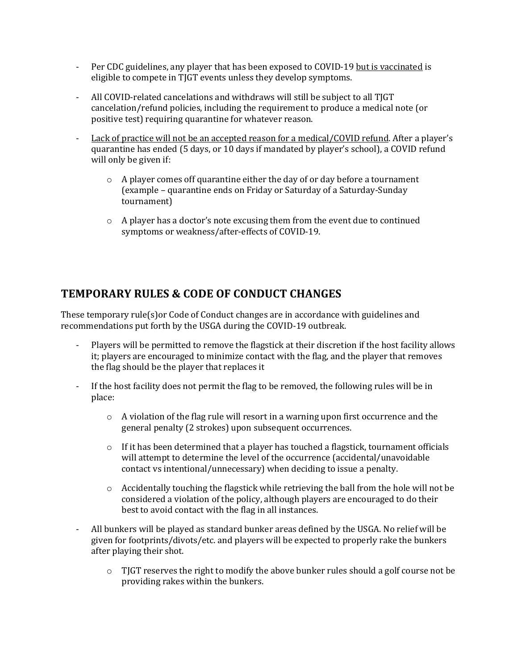- Per CDC guidelines, any player that has been exposed to COVID-19 but is vaccinated is eligible to compete in TJGT events unless they develop symptoms.
- All COVID-related cancelations and withdraws will still be subject to all TJGT cancelation/refund policies, including the requirement to produce a medical note (or positive test) requiring quarantine for whatever reason.
- Lack of practice will not be an accepted reason for a medical/COVID refund. After a player's quarantine has ended (5 days, or 10 days if mandated by player's school), a COVID refund will only be given if:
	- $\circ$  A player comes off quarantine either the day of or day before a tournament (example - quarantine ends on Friday or Saturday of a Saturday-Sunday tournament)
	- $\circ$  A player has a doctor's note excusing them from the event due to continued symptoms or weakness/after-effects of COVID-19.

# **TEMPORARY RULES & CODE OF CONDUCT CHANGES**

These temporary  $rule(s)$ or Code of Conduct changes are in accordance with guidelines and recommendations put forth by the USGA during the COVID-19 outbreak.

- Players will be permitted to remove the flagstick at their discretion if the host facility allows it; players are encouraged to minimize contact with the flag, and the player that removes the flag should be the player that replaces it
- If the host facility does not permit the flag to be removed, the following rules will be in place:
	- $\circ$  A violation of the flag rule will resort in a warning upon first occurrence and the general penalty (2 strokes) upon subsequent occurrences.
	- $\circ$  If it has been determined that a player has touched a flagstick, tournament officials will attempt to determine the level of the occurrence (accidental/unavoidable contact vs intentional/unnecessary) when deciding to issue a penalty.
	- $\circ$  Accidentally touching the flagstick while retrieving the ball from the hole will not be considered a violation of the policy, although players are encouraged to do their best to avoid contact with the flag in all instances.
- All bunkers will be played as standard bunker areas defined by the USGA. No relief will be given for footprints/divots/etc. and players will be expected to properly rake the bunkers after playing their shot.
	- $\circ$  TJGT reserves the right to modify the above bunker rules should a golf course not be providing rakes within the bunkers.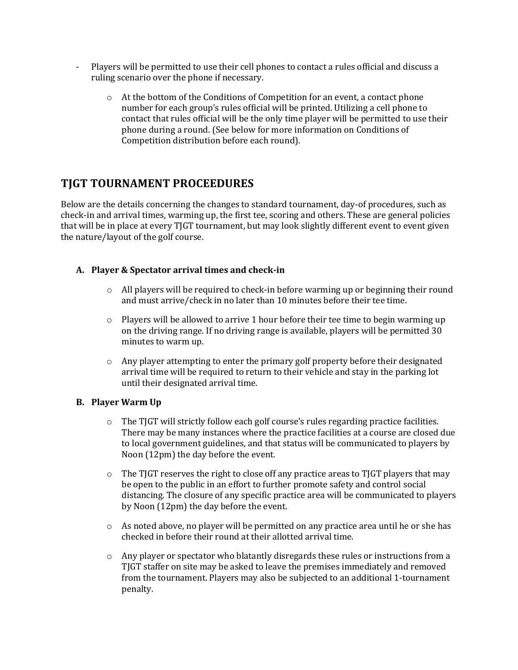- Players will be permitted to use their cell phones to contact a rules official and discuss a ruling scenario over the phone if necessary.
	- $\circ$  At the bottom of the Conditions of Competition for an event, a contact phone number for each group's rules official will be printed. Utilizing a cell phone to contact that rules official will be the only time player will be permitted to use their phone during a round. (See below for more information on Conditions of Competition distribution before each round).

# **TJGT TOURNAMENT PROCEEDURES**

Below are the details concerning the changes to standard tournament, day-of procedures, such as check-in and arrival times, warming up, the first tee, scoring and others. These are general policies that will be in place at every TJGT tournament, but may look slightly different event to event given the nature/layout of the golf course.

#### **A. Player & Spectator arrival times and check-in**

- $\circ$  All players will be required to check-in before warming up or beginning their round and must arrive/check in no later than 10 minutes before their tee time.
- $\circ$  Players will be allowed to arrive 1 hour before their tee time to begin warming up on the driving range. If no driving range is available, players will be permitted 30 minutes to warm up.
- $\circ$  Any player attempting to enter the primary golf property before their designated arrival time will be required to return to their vehicle and stay in the parking lot until their designated arrival time.

#### **B. Player Warm Up**

- $\circ$  The TJGT will strictly follow each golf course's rules regarding practice facilities. There may be many instances where the practice facilities at a course are closed due to local government guidelines, and that status will be communicated to players by Noon (12pm) the day before the event.
- $\circ$  The TJGT reserves the right to close off any practice areas to TJGT players that may be open to the public in an effort to further promote safety and control social distancing. The closure of any specific practice area will be communicated to players by Noon (12pm) the day before the event.
- o As noted above, no player will be permitted on any practice area until he or she has checked in before their round at their allotted arrival time.
- $\circ$  Any player or spectator who blatantly disregards these rules or instructions from a TJGT staffer on site may be asked to leave the premises immediately and removed from the tournament. Players may also be subjected to an additional 1-tournament penalty.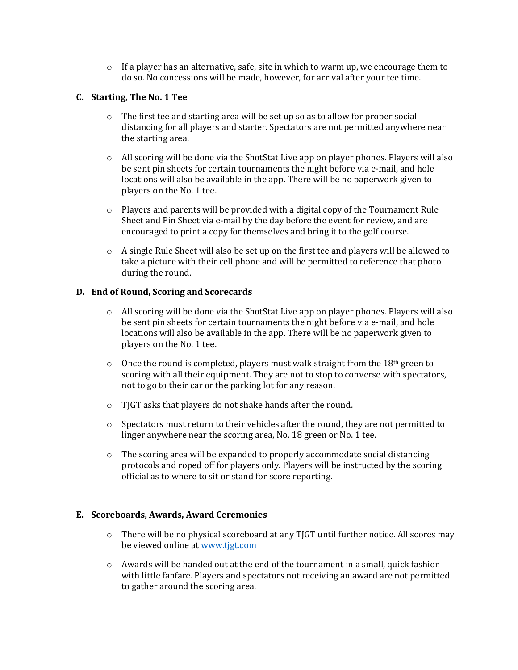$\circ$  If a player has an alternative, safe, site in which to warm up, we encourage them to do so. No concessions will be made, however, for arrival after your tee time.

#### **C. Starting, The No. 1 Tee**

- $\circ$  The first tee and starting area will be set up so as to allow for proper social distancing for all players and starter. Spectators are not permitted anywhere near the starting area.
- $\circ$  All scoring will be done via the ShotStat Live app on player phones. Players will also be sent pin sheets for certain tournaments the night before via e-mail, and hole locations will also be available in the app. There will be no paperwork given to players on the No. 1 tee.
- $\circ$  Players and parents will be provided with a digital copy of the Tournament Rule Sheet and Pin Sheet via e-mail by the day before the event for review, and are encouraged to print a copy for themselves and bring it to the golf course.
- $\circ$  A single Rule Sheet will also be set up on the first tee and players will be allowed to take a picture with their cell phone and will be permitted to reference that photo during the round.

#### **D. End of Round, Scoring and Scorecards**

- o All scoring will be done via the ShotStat Live app on player phones. Players will also be sent pin sheets for certain tournaments the night before via e-mail, and hole locations will also be available in the app. There will be no paperwork given to players on the No. 1 tee.
- $\circ$  Once the round is completed, players must walk straight from the 18<sup>th</sup> green to scoring with all their equipment. They are not to stop to converse with spectators, not to go to their car or the parking lot for any reason.
- $\circ$  TJGT asks that players do not shake hands after the round.
- $\circ$  Spectators must return to their vehicles after the round, they are not permitted to linger anywhere near the scoring area, No. 18 green or No. 1 tee.
- $\circ$  The scoring area will be expanded to properly accommodate social distancing protocols and roped off for players only. Players will be instructed by the scoring official as to where to sit or stand for score reporting.

#### E. Scoreboards, Awards, Award Ceremonies

- $\circ$  There will be no physical scoreboard at any TJGT until further notice. All scores may be viewed online at www.tjgt.com
- $\circ$  Awards will be handed out at the end of the tournament in a small, quick fashion with little fanfare. Players and spectators not receiving an award are not permitted to gather around the scoring area.